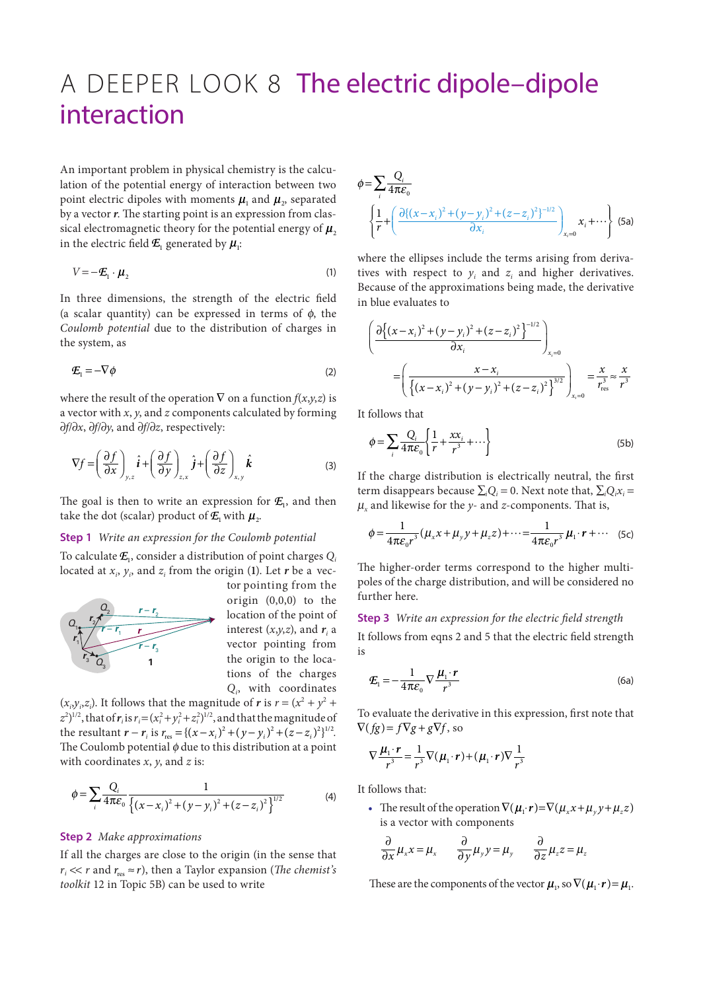## A DEEPER LOOK 8 The electric dipole–dipole interaction

An important problem in physical chemistry is the calculation of the potential energy of interaction between two point electric dipoles with moments  $\mu_1$  and  $\mu_2$ , separated by a vector *r*. The starting point is an expression from classical electromagnetic theory for the potential energy of  $\mu$ <sub>2</sub> in the electric field  $E_1$  generated by  $\mu_i$ :

$$
V = -\mathcal{E}_1 \cdot \boldsymbol{\mu}_2 \tag{1}
$$

In three dimensions, the strength of the electric field (a scalar quantity) can be expressed in terms of  $\phi$ , the *Coulomb potential* due to the distribution of charges in the system, as

$$
\mathcal{E}_1 = -\nabla \phi \tag{2}
$$

where the result of the operation  $\nabla$  on a function  $f(x, y, z)$  is a vector with *x*, *y*, and *z* components calculated by forming ∂*f*/∂*x*, ∂*f*/∂*y*, and ∂*f*/∂*z*, respectively:

$$
\nabla f = \left(\frac{\partial f}{\partial x}\right)_{y,z} \hat{\boldsymbol{i}} + \left(\frac{\partial f}{\partial y}\right)_{z,x} \hat{\boldsymbol{j}} + \left(\frac{\partial f}{\partial z}\right)_{x,y} \hat{\boldsymbol{k}} \tag{3}
$$

The goal is then to write an expression for  $E_1$ , and then take the dot (scalar) product of  $E_1$  with  $\mu_2$ .

## **Step 1** *Write an expression for the Coulomb potential*

To calculate  $E_1$ , consider a distribution of point charges  $Q_i$ located at *xi* , *yi* , and *zi* from the origin (**1**). Let *r* be a vec-



tor pointing from the origin (0,0,0) to the location of the point of interest  $(x,y,z)$ , and  $r<sub>i</sub>$  a vector pointing from the origin to the locations of the charges *Qi* , with coordinates

 $(x_i, y_i, z_i)$ . It follows that the magnitude of *r* is  $r = (x^2 + y^2 + z^2)$  $(z^2)^{1/2}$ , that of  $r_i$  is  $r_i = (x_i^2 + y_i^2 + z_i^2)^{1/2}$ , and that the magnitude of the resultant  $r - r_i$  is  $r_{\text{res}} = \{(x - x_i)^2 + (y - y_i)^2 + (z - z_i)^2\}^{1/2}$ . The Coulomb potential  $\phi$  due to this distribution at a point with coordinates *x*, *y*, and *z* is:

$$
\phi = \sum_{i} \frac{Q_i}{4\pi\varepsilon_0} \frac{1}{\left\{ (x - x_i)^2 + (y - y_i)^2 + (z - z_i)^2 \right\}^{1/2}}
$$
(4)

## **Step 2** *Make approximations*

If all the charges are close to the origin (in the sense that  $r_i \ll r$  and  $r_{res} \approx r$ ), then a Taylor expansion (*The chemist's toolkit* 12 in Topic 5B) can be used to write

$$
\phi = \sum_{i} \frac{Q_{i}}{4\pi \varepsilon_{0}}
$$
\n
$$
\left\{ \frac{1}{r} + \left( \frac{\partial \{(x - x_{i})^{2} + (y - y_{i})^{2} + (z - z_{i})^{2}\}^{-1/2}}{\partial x_{i}} \right)_{x_{i}=0} x_{i} + \cdots \right\} (5a)
$$

where the ellipses include the terms arising from derivatives with respect to  $y_i$  and  $z_i$  and higher derivatives. Because of the approximations being made, the derivative in blue evaluates to

$$
\left(\frac{\partial \left\{(x-x_i)^2 + (y-y_i)^2 + (z-z_i)^2\right\}^{-1/2}}{\partial x_i}\right)_{x_i=0}
$$
\n
$$
= \left(\frac{x-x_i}{\left\{(x-x_i)^2 + (y-y_i)^2 + (z-z_i)^2\right\}^{3/2}}\right)_{x_i=0} = \frac{x}{r_{\rm res}^3} \approx \frac{x}{r^3}
$$

It follows that

$$
\phi = \sum_{i} \frac{Q_i}{4\pi \varepsilon_0} \left\{ \frac{1}{r} + \frac{x x_i}{r^3} + \cdots \right\} \tag{5b}
$$

If the charge distribution is electrically neutral, the first term disappears because  $\sum_i Q_i = 0$ . Next note that,  $\sum_i Q_i x_i =$  $\mu_x$  and likewise for the *y*- and *z*-components. That is,

$$
\phi = \frac{1}{4\pi\varepsilon_0 r^3} (\mu_x x + \mu_y y + \mu_z z) + \dots = \frac{1}{4\pi\varepsilon_0 r^3} \mu_1 \cdot r + \dots \quad (5c)
$$

The higher-order terms correspond to the higher multipoles of the charge distribution, and will be considered no further here.

## **Step 3** *Write an expression for the electric field strength*

It follows from eqns 2 and 5 that the electric field strength is

$$
\mathcal{E}_1 = -\frac{1}{4\pi\varepsilon_0} \nabla \frac{\mu_1 \cdot r}{r^3}
$$
 (6a)

To evaluate the derivative in this expression, first note that  $\nabla (fg) = f \nabla g + g \nabla f$ , so

$$
\nabla \frac{\mu_1 \cdot r}{r^3} = \frac{1}{r^3} \nabla (\mu_1 \cdot r) + (\mu_1 \cdot r) \nabla \frac{1}{r^3}
$$

It follows that:

• The result of the operation  $\nabla$  ( $\mu$ <sub>*i*</sub> $\cdot$ **r**) =  $\nabla$  ( $\mu$ <sub>*x*</sub> $x + \mu$ <sub>*<sub>i</sub>*</sub> $y + \mu$ <sub>*z*</sub> $z$ ) is a vector with components

$$
\frac{\partial}{\partial x}\mu_x x = \mu_x \qquad \frac{\partial}{\partial y}\mu_y y = \mu_y \qquad \frac{\partial}{\partial z}\mu_z z = \mu_z
$$

These are the components of the vector  $\boldsymbol{\mu}_{1}$ , so  $\nabla (\boldsymbol{\mu}_{1} \cdot \boldsymbol{r}) = \boldsymbol{\mu}_{1}$ .